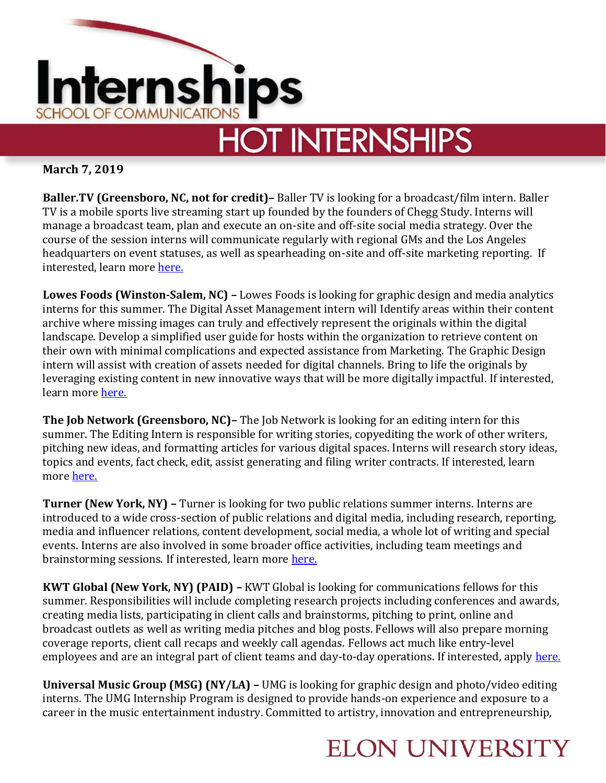

**March 7, 2019**

**Baller.TV (Greensboro, NC, not for credit)–** Baller TV is looking for a broadcast/film intern. Baller TV is a mobile sports live streaming start up founded by the founders of Chegg Study. Interns will manage a broadcast team, plan and execute an on-site and off-site social media strategy. Over the course of the session interns will communicate regularly with regional GMs and the Los Angeles headquarters on event statuses, as well as spearheading on-site and off-site marketing reporting. If interested, learn more [here.](https://www.wayup.com/i-Start-Ups-j-Baller-TV-Site-Lead-Internship-BallerTV-532318712933079/?clickcastid=2106565-27499&utm_source=neuvoo&utm_medium=jobxml&utm_campaign=neuvooXML-APPS-Greensboro-NC-2370518-2106565&refer=neuxmlneuvooXML-APPS-Greensb)

**Lowes Foods (Winston-Salem, NC) –** Lowes Foods is looking for graphic design and media analytics interns for this summer. The Digital Asset Management intern will Identify areas within their content archive where missing images can truly and effectively represent the originals within the digital landscape. Develop a simplified user guide for hosts within the organization to retrieve content on their own with minimal complications and expected assistance from Marketing. The Graphic Design intern will assist with creation of assets needed for digital channels. Bring to life the originals by leveraging existing content in new innovative ways that will be more digitally impactful. If interested, learn more [here.](https://careers-lowesfoods.icims.com/jobs/42417/internship---marketing/job?mobile=false&width=968&height=500&bga=true&needsRedirect=false&jan1offset=-300&jun1offset=-240)

**The Job Network (Greensboro, NC)–** The Job Network is looking for an editing intern for this summer. The Editing Intern is responsible for writing stories, copyediting the work of other writers, pitching new ideas, and formatting articles for various digital spaces. Interns will research story ideas, topics and events, fact check, edit, assist generating and filing writer contracts. If interested, learn more [here.](https://www.linkedin.com/jobs/view/1154613090/)

**Turner (New York, NY) –** Turner is looking for two public relations summer interns. Interns are introduced to a wide cross-section of public relations and digital media, including research, reporting, media and influencer relations, content development, social media, a whole lot of writing and special events. Interns are also involved in some broader office activities, including team meetings and brainstorming sessions. If interested, learn more [here.](https://turnerpr-fahlgrenmortine.icims.com/jobs/1434/public-relations-summer-intern%2c-lifestyle/job?mobile=false&width=940&height=500&bga=true&needsRedirect=false&jan1offset=-300&jun1offset=-240)

**KWT Global (New York, NY) (PAID) –** KWT Global is looking for communications fellows for this summer. Responsibilities will include completing research projects including conferences and awards, creating media lists, participating in client calls and brainstorms, pitching to print, online and broadcast outlets as well as writing media pitches and blog posts. Fellows will also prepare morning coverage reports, client call recaps and weekly call agendas. Fellows act much like entry-level employees and are an integral part of client teams and day-to-day operations. If interested, apply [here.](https://boards.greenhouse.io/kwittken/jobs/4030637002?gh_src=75b7ff512)

**Universal Music Group (MSG) (NY/LA) –** UMG is looking for graphic design and photo/video editing interns. The UMG Internship Program is designed to provide hands-on experience and exposure to a career in the music entertainment industry. Committed to artistry, innovation and entrepreneurship,

## **ELON UNIVERSITY**